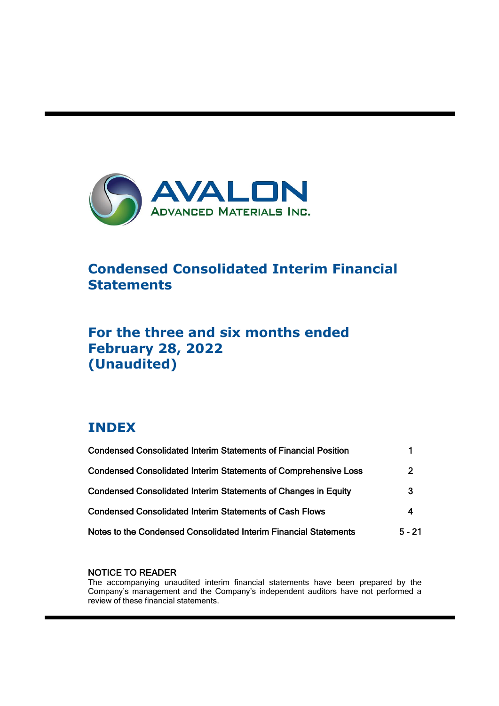

# **Condensed Consolidated Interim Financial Statements**

# **For the three and six months ended February 28, 2022 (Unaudited)**

# **INDEX**

ı

| <b>Condensed Consolidated Interim Statements of Financial Position</b> |                |
|------------------------------------------------------------------------|----------------|
| <b>Condensed Consolidated Interim Statements of Comprehensive Loss</b> | $\overline{2}$ |
| <b>Condensed Consolidated Interim Statements of Changes in Equity</b>  | 3              |
| <b>Condensed Consolidated Interim Statements of Cash Flows</b>         | 4              |
| Notes to the Condensed Consolidated Interim Financial Statements       | $5 - 21$       |

# NOTICE TO READER

The accompanying unaudited interim financial statements have been prepared by the Company's management and the Company's independent auditors have not performed a review of these financial statements.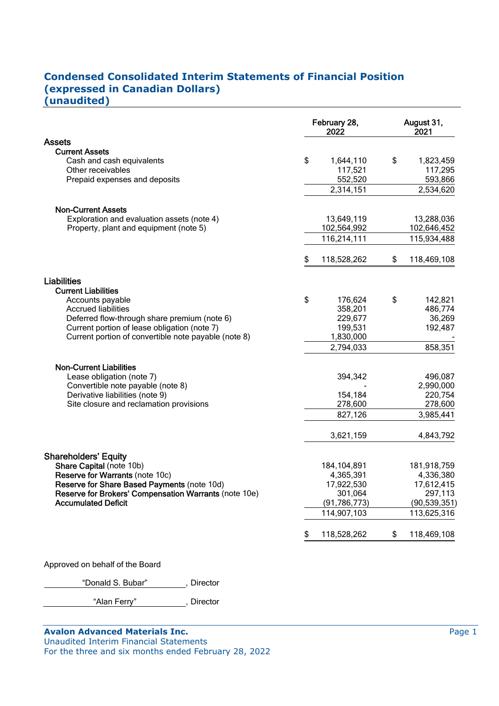# **Condensed Consolidated Interim Statements of Financial Position (expressed in Canadian Dollars) (unaudited)**

| 1,644,110<br>117,521<br>552,520<br>2,314,151<br>13,649,119<br>102,564,992<br>116,214,111<br>118,528,262<br>176,624<br>358,201<br>229,677<br>199,531<br>1,830,000 | \$<br>\$<br>\$                                                           | 1,823,459<br>117,295<br>593,866<br>2,534,620<br>13,288,036<br>102,646,452<br>115,934,488<br>118,469,108<br>142,821<br>486,774<br>36,269<br>192,487 |
|------------------------------------------------------------------------------------------------------------------------------------------------------------------|--------------------------------------------------------------------------|----------------------------------------------------------------------------------------------------------------------------------------------------|
|                                                                                                                                                                  |                                                                          |                                                                                                                                                    |
|                                                                                                                                                                  |                                                                          |                                                                                                                                                    |
|                                                                                                                                                                  |                                                                          |                                                                                                                                                    |
|                                                                                                                                                                  |                                                                          |                                                                                                                                                    |
|                                                                                                                                                                  |                                                                          |                                                                                                                                                    |
|                                                                                                                                                                  |                                                                          |                                                                                                                                                    |
|                                                                                                                                                                  |                                                                          |                                                                                                                                                    |
|                                                                                                                                                                  |                                                                          |                                                                                                                                                    |
|                                                                                                                                                                  |                                                                          |                                                                                                                                                    |
|                                                                                                                                                                  |                                                                          |                                                                                                                                                    |
|                                                                                                                                                                  |                                                                          |                                                                                                                                                    |
|                                                                                                                                                                  |                                                                          |                                                                                                                                                    |
| 2,794,033                                                                                                                                                        |                                                                          | 858,351                                                                                                                                            |
|                                                                                                                                                                  |                                                                          |                                                                                                                                                    |
| 394,342                                                                                                                                                          |                                                                          | 496,087                                                                                                                                            |
|                                                                                                                                                                  |                                                                          | 2,990,000                                                                                                                                          |
| 154,184                                                                                                                                                          |                                                                          | 220,754                                                                                                                                            |
| 278,600                                                                                                                                                          |                                                                          | 278,600                                                                                                                                            |
| 827,126                                                                                                                                                          |                                                                          | 3,985,441                                                                                                                                          |
| 3,621,159                                                                                                                                                        |                                                                          | 4,843,792                                                                                                                                          |
|                                                                                                                                                                  |                                                                          |                                                                                                                                                    |
|                                                                                                                                                                  |                                                                          | 181,918,759                                                                                                                                        |
|                                                                                                                                                                  |                                                                          | 4,336,380                                                                                                                                          |
| 17,922,530                                                                                                                                                       |                                                                          | 17,612,415                                                                                                                                         |
| 301,064                                                                                                                                                          |                                                                          | 297,113                                                                                                                                            |
|                                                                                                                                                                  |                                                                          | (90, 539, 351)                                                                                                                                     |
|                                                                                                                                                                  |                                                                          | 113,625,316                                                                                                                                        |
|                                                                                                                                                                  | \$                                                                       | 118,469,108                                                                                                                                        |
|                                                                                                                                                                  | 184,104,891<br>4,365,391<br>(91, 786, 773)<br>114,907,103<br>118,528,262 |                                                                                                                                                    |

Approved on behalf of the Board

"Donald S. Bubar", Director

"Alan Ferry" , Director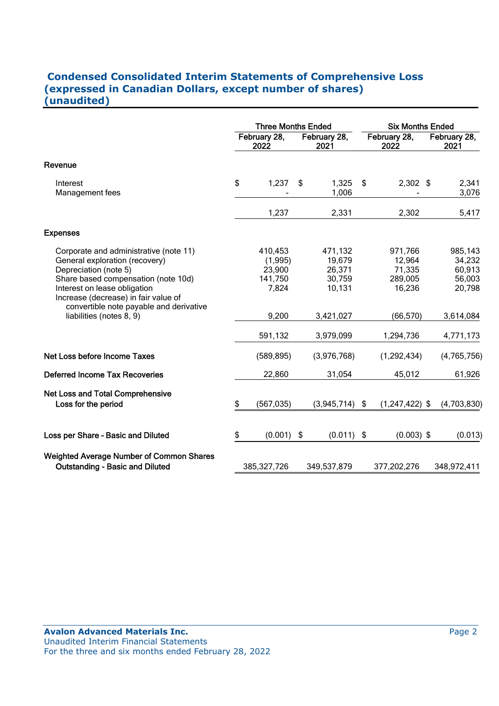# **Condensed Consolidated Interim Statements of Comprehensive Loss (expressed in Canadian Dollars, except number of shares) (unaudited)**

|                                                                                                                                                                                                                  | <b>Three Months Ended</b> |                                                  |    |                                                 | <b>Six Months Ended</b> |                                                  |  |                                                 |  |
|------------------------------------------------------------------------------------------------------------------------------------------------------------------------------------------------------------------|---------------------------|--------------------------------------------------|----|-------------------------------------------------|-------------------------|--------------------------------------------------|--|-------------------------------------------------|--|
|                                                                                                                                                                                                                  |                           | February 28,<br>2022                             |    | February 28,<br>2021                            |                         | February 28,<br>2022                             |  | February 28,<br>2021                            |  |
| Revenue                                                                                                                                                                                                          |                           |                                                  |    |                                                 |                         |                                                  |  |                                                 |  |
| Interest<br>Management fees                                                                                                                                                                                      | \$                        | 1,237                                            | \$ | 1,325<br>1,006                                  | - \$                    | $2,302$ \$                                       |  | 2,341<br>3,076                                  |  |
|                                                                                                                                                                                                                  |                           | 1,237                                            |    | 2,331                                           |                         | 2,302                                            |  | 5,417                                           |  |
| <b>Expenses</b>                                                                                                                                                                                                  |                           |                                                  |    |                                                 |                         |                                                  |  |                                                 |  |
| Corporate and administrative (note 11)<br>General exploration (recovery)<br>Depreciation (note 5)<br>Share based compensation (note 10d)<br>Interest on lease obligation<br>Increase (decrease) in fair value of |                           | 410,453<br>(1,995)<br>23,900<br>141,750<br>7,824 |    | 471,132<br>19,679<br>26,371<br>30,759<br>10,131 |                         | 971,766<br>12,964<br>71,335<br>289,005<br>16,236 |  | 985,143<br>34,232<br>60,913<br>56,003<br>20,798 |  |
| convertible note payable and derivative<br>liabilities (notes 8, 9)                                                                                                                                              |                           | 9,200                                            |    | 3,421,027                                       |                         | (66, 570)                                        |  | 3,614,084                                       |  |
|                                                                                                                                                                                                                  |                           | 591,132                                          |    | 3,979,099                                       |                         | 1,294,736                                        |  | 4,771,173                                       |  |
| Net Loss before Income Taxes                                                                                                                                                                                     |                           | (589, 895)                                       |    | (3,976,768)                                     |                         | (1, 292, 434)                                    |  | (4,765,756)                                     |  |
| <b>Deferred Income Tax Recoveries</b>                                                                                                                                                                            |                           | 22,860                                           |    | 31,054                                          |                         | 45,012                                           |  | 61,926                                          |  |
| Net Loss and Total Comprehensive<br>Loss for the period                                                                                                                                                          | \$                        | (567, 035)                                       |    | $(3,945,714)$ \$                                |                         | $(1,247,422)$ \$                                 |  | (4,703,830)                                     |  |
| Loss per Share - Basic and Diluted                                                                                                                                                                               | \$                        | $(0.001)$ \$                                     |    | $(0.011)$ \$                                    |                         | $(0.003)$ \$                                     |  | (0.013)                                         |  |
| <b>Weighted Average Number of Common Shares</b><br><b>Outstanding - Basic and Diluted</b>                                                                                                                        |                           | 385, 327, 726                                    |    | 349,537,879                                     |                         | 377,202,276                                      |  | 348,972,411                                     |  |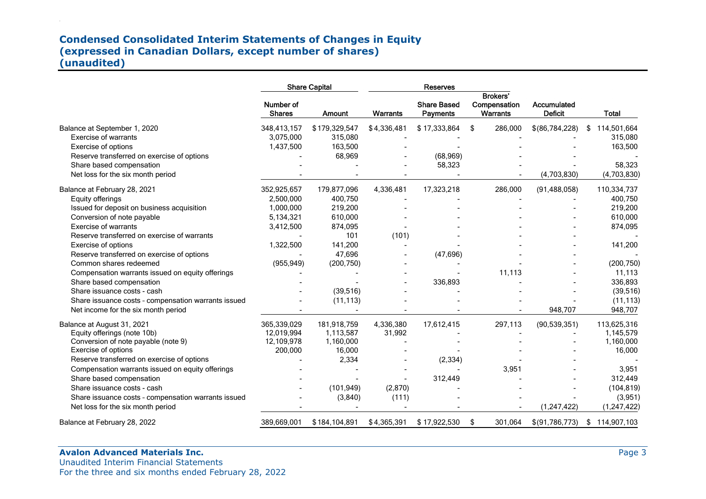# **Condensed Consolidated Interim Statements of Changes in Equity (expressed in Canadian Dollars, except number of shares) (unaudited)**

|                                                     |                            | <b>Share Capital</b> |                 | <b>Reserves</b>                       |                                                    |                               |                   |
|-----------------------------------------------------|----------------------------|----------------------|-----------------|---------------------------------------|----------------------------------------------------|-------------------------------|-------------------|
|                                                     | Number of<br><b>Shares</b> | Amount               | <b>Warrants</b> | <b>Share Based</b><br><b>Payments</b> | <b>Brokers'</b><br>Compensation<br><b>Warrants</b> | Accumulated<br><b>Deficit</b> | <b>Total</b>      |
| Balance at September 1, 2020                        | 348,413,157                | \$179,329,547        | \$4,336,481     | \$17,333,864                          | \$<br>286,000                                      | \$(86,784,228)                | 114,501,664<br>S  |
| <b>Exercise of warrants</b>                         | 3,075,000                  | 315,080              |                 |                                       |                                                    |                               | 315,080           |
| Exercise of options                                 | 1,437,500                  | 163,500              |                 |                                       |                                                    |                               | 163,500           |
| Reserve transferred on exercise of options          |                            | 68,969               |                 | (68, 969)                             |                                                    |                               |                   |
| Share based compensation                            |                            |                      |                 | 58,323                                |                                                    |                               | 58,323            |
| Net loss for the six month period                   |                            |                      |                 |                                       |                                                    | (4,703,830)                   | (4,703,830)       |
| Balance at February 28, 2021                        | 352,925,657                | 179,877,096          | 4,336,481       | 17,323,218                            | 286,000                                            | (91, 488, 058)                | 110,334,737       |
| Equity offerings                                    | 2,500,000                  | 400,750              |                 |                                       |                                                    |                               | 400,750           |
| Issued for deposit on business acquisition          | 1,000,000                  | 219,200              |                 |                                       |                                                    |                               | 219,200           |
| Conversion of note payable                          | 5,134,321                  | 610,000              |                 |                                       |                                                    |                               | 610,000           |
| <b>Exercise of warrants</b>                         | 3,412,500                  | 874,095              |                 |                                       |                                                    |                               | 874,095           |
| Reserve transferred on exercise of warrants         |                            | 101                  | (101)           |                                       |                                                    |                               |                   |
| Exercise of options                                 | 1,322,500                  | 141,200              |                 |                                       |                                                    |                               | 141,200           |
| Reserve transferred on exercise of options          |                            | 47,696               |                 | (47, 696)                             |                                                    |                               |                   |
| Common shares redeemed                              | (955, 949)                 | (200, 750)           |                 |                                       |                                                    |                               | (200, 750)        |
| Compensation warrants issued on equity offerings    |                            |                      |                 |                                       | 11,113                                             |                               | 11,113            |
| Share based compensation                            |                            |                      |                 | 336,893                               |                                                    |                               | 336,893           |
| Share issuance costs - cash                         |                            | (39, 516)            |                 |                                       |                                                    |                               | (39, 516)         |
| Share issuance costs - compensation warrants issued |                            | (11, 113)            |                 |                                       |                                                    |                               | (11, 113)         |
| Net income for the six month period                 |                            |                      |                 |                                       |                                                    | 948,707                       | 948,707           |
| Balance at August 31, 2021                          | 365,339,029                | 181,918,759          | 4,336,380       | 17,612,415                            | 297,113                                            | (90, 539, 351)                | 113,625,316       |
| Equity offerings (note 10b)                         | 12,019,994                 | 1,113,587            | 31,992          |                                       |                                                    |                               | 1,145,579         |
| Conversion of note payable (note 9)                 | 12,109,978                 | 1,160,000            |                 |                                       |                                                    |                               | 1,160,000         |
| Exercise of options                                 | 200,000                    | 16,000               |                 |                                       |                                                    |                               | 16,000            |
| Reserve transferred on exercise of options          |                            | 2,334                |                 | (2, 334)                              |                                                    |                               |                   |
| Compensation warrants issued on equity offerings    |                            |                      |                 |                                       | 3,951                                              |                               | 3,951             |
| Share based compensation                            |                            |                      |                 | 312,449                               |                                                    |                               | 312,449           |
| Share issuance costs - cash                         |                            | (101, 949)           | (2,870)         |                                       |                                                    |                               | (104, 819)        |
| Share issuance costs - compensation warrants issued |                            | (3,840)              | (111)           |                                       |                                                    |                               | (3,951)           |
| Net loss for the six month period                   |                            |                      |                 |                                       |                                                    | (1,247,422)                   | (1, 247, 422)     |
| Balance at February 28, 2022                        | 389,669,001                | \$184,104,891        | \$4,365,391     | \$17,922,530                          | \$<br>301,064                                      | \$(91,786,773)                | 114,907,103<br>\$ |

# **Avalon Advanced Materials Inc.**

Unaudited Interim Financial Statements For the three and six months ended February 28, 2022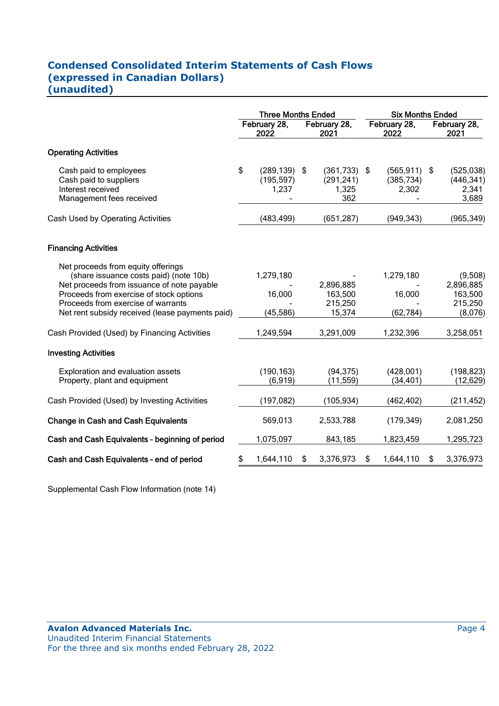# **Condensed Consolidated Interim Statements of Cash Flows (expressed in Canadian Dollars) (unaudited)**

|                                                                                                                                                                                                                                                                | <b>Three Months Ended</b> |                                        | <b>Six Months Ended</b>                      |                                   |      |                                                       |
|----------------------------------------------------------------------------------------------------------------------------------------------------------------------------------------------------------------------------------------------------------------|---------------------------|----------------------------------------|----------------------------------------------|-----------------------------------|------|-------------------------------------------------------|
|                                                                                                                                                                                                                                                                |                           | February 28,<br>2022                   | February 28,<br>2021                         | February 28,<br>2022              |      | February 28,<br>2021                                  |
| <b>Operating Activities</b>                                                                                                                                                                                                                                    |                           |                                        |                                              |                                   |      |                                                       |
| Cash paid to employees<br>Cash paid to suppliers<br>Interest received<br>Management fees received                                                                                                                                                              | \$                        | $(289, 139)$ \$<br>(195, 597)<br>1,237 | $(361,733)$ \$<br>(291, 241)<br>1,325<br>362 | (565, 911)<br>(385, 734)<br>2,302 | - \$ | (525, 038)<br>(446, 341)<br>2,341<br>3,689            |
| Cash Used by Operating Activities                                                                                                                                                                                                                              |                           | (483, 499)                             | (651, 287)                                   | (949, 343)                        |      | (965, 349)                                            |
| <b>Financing Activities</b>                                                                                                                                                                                                                                    |                           |                                        |                                              |                                   |      |                                                       |
| Net proceeds from equity offerings<br>(share issuance costs paid) (note 10b)<br>Net proceeds from issuance of note payable<br>Proceeds from exercise of stock options<br>Proceeds from exercise of warrants<br>Net rent subsidy received (lease payments paid) |                           | 1,279,180<br>16,000<br>(45, 586)       | 2,896,885<br>163,500<br>215,250<br>15,374    | 1,279,180<br>16,000<br>(62, 784)  |      | (9,508)<br>2,896,885<br>163,500<br>215,250<br>(8,076) |
| Cash Provided (Used) by Financing Activities                                                                                                                                                                                                                   |                           | 1,249,594                              | 3,291,009                                    | 1,232,396                         |      | 3,258,051                                             |
| <b>Investing Activities</b>                                                                                                                                                                                                                                    |                           |                                        |                                              |                                   |      |                                                       |
| Exploration and evaluation assets<br>Property, plant and equipment                                                                                                                                                                                             |                           | (190, 163)<br>(6, 919)                 | (94, 375)<br>(11, 559)                       | (428,001)<br>(34, 401)            |      | (198, 823)<br>(12, 629)                               |
| Cash Provided (Used) by Investing Activities                                                                                                                                                                                                                   |                           | (197, 082)                             | (105, 934)                                   | (462, 402)                        |      | (211, 452)                                            |
| <b>Change in Cash and Cash Equivalents</b>                                                                                                                                                                                                                     |                           | 569,013                                | 2,533,788                                    | (179, 349)                        |      | 2,081,250                                             |
| Cash and Cash Equivalents - beginning of period                                                                                                                                                                                                                |                           | 1,075,097                              | 843,185                                      | 1,823,459                         |      | 1,295,723                                             |
| Cash and Cash Equivalents - end of period                                                                                                                                                                                                                      | \$                        | 1,644,110                              | \$<br>3,376,973                              | \$<br>1,644,110                   | \$   | 3,376,973                                             |

Supplemental Cash Flow Information (note 14)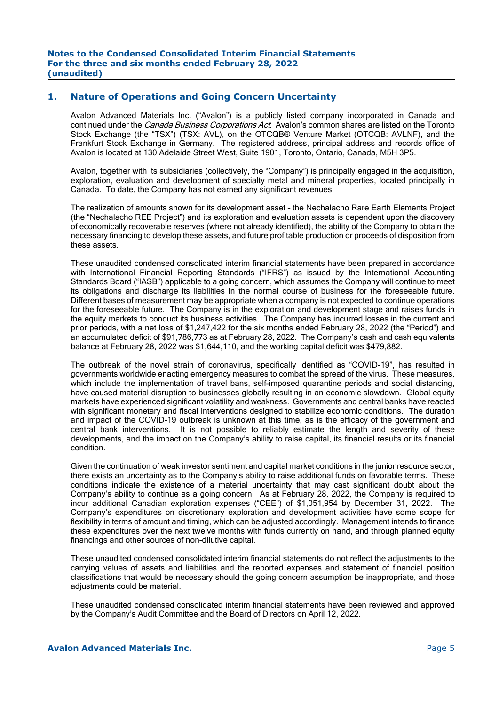# **1. Nature of Operations and Going Concern Uncertainty**

Avalon Advanced Materials Inc. ("Avalon") is a publicly listed company incorporated in Canada and continued under the *Canada Business Corporations Act.* Avalon's common shares are listed on the Toronto Stock Exchange (the "TSX") (TSX: AVL), on the OTCQB® Venture Market (OTCQB: AVLNF), and the Frankfurt Stock Exchange in Germany. The registered address, principal address and records office of Avalon is located at 130 Adelaide Street West, Suite 1901, Toronto, Ontario, Canada, M5H 3P5.

Avalon, together with its subsidiaries (collectively, the "Company") is principally engaged in the acquisition, exploration, evaluation and development of specialty metal and mineral properties, located principally in Canada. To date, the Company has not earned any significant revenues.

The realization of amounts shown for its development asset – the Nechalacho Rare Earth Elements Project (the "Nechalacho REE Project") and its exploration and evaluation assets is dependent upon the discovery of economically recoverable reserves (where not already identified), the ability of the Company to obtain the necessary financing to develop these assets, and future profitable production or proceeds of disposition from these assets.

These unaudited condensed consolidated interim financial statements have been prepared in accordance with International Financial Reporting Standards ("IFRS") as issued by the International Accounting Standards Board ("IASB") applicable to a going concern, which assumes the Company will continue to meet its obligations and discharge its liabilities in the normal course of business for the foreseeable future. Different bases of measurement may be appropriate when a company is not expected to continue operations for the foreseeable future. The Company is in the exploration and development stage and raises funds in the equity markets to conduct its business activities. The Company has incurred losses in the current and prior periods, with a net loss of \$1,247,422 for the six months ended February 28, 2022 (the "Period") and an accumulated deficit of \$91,786,773 as at February 28, 2022. The Company's cash and cash equivalents balance at February 28, 2022 was \$1,644,110, and the working capital deficit was \$479,882.

The outbreak of the novel strain of coronavirus, specifically identified as "COVID-19", has resulted in governments worldwide enacting emergency measures to combat the spread of the virus. These measures, which include the implementation of travel bans, self-imposed quarantine periods and social distancing, have caused material disruption to businesses globally resulting in an economic slowdown. Global equity markets have experienced significant volatility and weakness. Governments and central banks have reacted with significant monetary and fiscal interventions designed to stabilize economic conditions. The duration and impact of the COVID-19 outbreak is unknown at this time, as is the efficacy of the government and central bank interventions. It is not possible to reliably estimate the length and severity of these developments, and the impact on the Company's ability to raise capital, its financial results or its financial condition.

Given the continuation of weak investor sentiment and capital market conditions in the junior resource sector, there exists an uncertainty as to the Company's ability to raise additional funds on favorable terms. These conditions indicate the existence of a material uncertainty that may cast significant doubt about the Company's ability to continue as a going concern. As at February 28, 2022, the Company is required to incur additional Canadian exploration expenses ("CEE") of \$1,051,954 by December 31, 2022. The Company's expenditures on discretionary exploration and development activities have some scope for flexibility in terms of amount and timing, which can be adjusted accordingly. Management intends to finance these expenditures over the next twelve months with funds currently on hand, and through planned equity financings and other sources of non-dilutive capital.

These unaudited condensed consolidated interim financial statements do not reflect the adjustments to the carrying values of assets and liabilities and the reported expenses and statement of financial position classifications that would be necessary should the going concern assumption be inappropriate, and those adiustments could be material.

These unaudited condensed consolidated interim financial statements have been reviewed and approved by the Company's Audit Committee and the Board of Directors on April 12, 2022.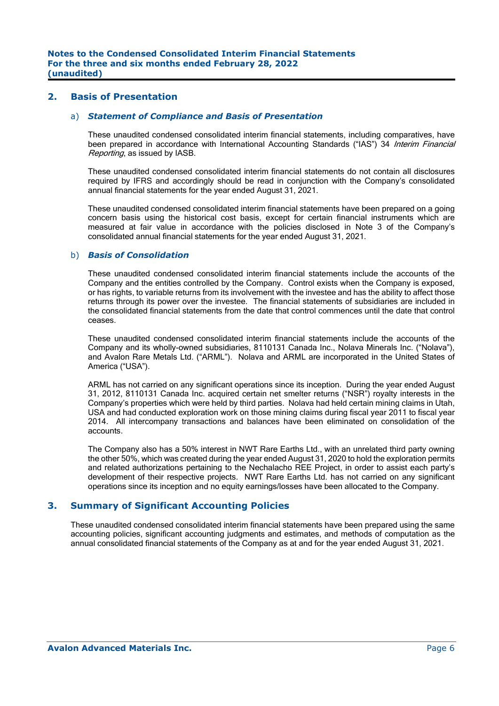### **2. Basis of Presentation**

#### a) *Statement of Compliance and Basis of Presentation*

 These unaudited condensed consolidated interim financial statements, including comparatives, have been prepared in accordance with International Accounting Standards ("IAS") 34 Interim Financial Reporting, as issued by IASB.

These unaudited condensed consolidated interim financial statements do not contain all disclosures required by IFRS and accordingly should be read in conjunction with the Company's consolidated annual financial statements for the year ended August 31, 2021.

These unaudited condensed consolidated interim financial statements have been prepared on a going concern basis using the historical cost basis, except for certain financial instruments which are measured at fair value in accordance with the policies disclosed in Note 3 of the Company's consolidated annual financial statements for the year ended August 31, 2021.

#### b) *Basis of Consolidation*

 These unaudited condensed consolidated interim financial statements include the accounts of the Company and the entities controlled by the Company. Control exists when the Company is exposed, or has rights, to variable returns from its involvement with the investee and has the ability to affect those returns through its power over the investee. The financial statements of subsidiaries are included in the consolidated financial statements from the date that control commences until the date that control ceases.

 These unaudited condensed consolidated interim financial statements include the accounts of the Company and its wholly-owned subsidiaries, 8110131 Canada Inc., Nolava Minerals Inc. ("Nolava"), and Avalon Rare Metals Ltd. ("ARML"). Nolava and ARML are incorporated in the United States of America ("USA").

 ARML has not carried on any significant operations since its inception. During the year ended August 31, 2012, 8110131 Canada Inc. acquired certain net smelter returns ("NSR") royalty interests in the Company's properties which were held by third parties. Nolava had held certain mining claims in Utah, USA and had conducted exploration work on those mining claims during fiscal year 2011 to fiscal year 2014. All intercompany transactions and balances have been eliminated on consolidation of the accounts.

 The Company also has a 50% interest in NWT Rare Earths Ltd., with an unrelated third party owning the other 50%, which was created during the year ended August 31, 2020 to hold the exploration permits and related authorizations pertaining to the Nechalacho REE Project, in order to assist each party's development of their respective projects. NWT Rare Earths Ltd. has not carried on any significant operations since its inception and no equity earnings/losses have been allocated to the Company.

# **3. Summary of Significant Accounting Policies**

These unaudited condensed consolidated interim financial statements have been prepared using the same accounting policies, significant accounting judgments and estimates, and methods of computation as the annual consolidated financial statements of the Company as at and for the year ended August 31, 2021.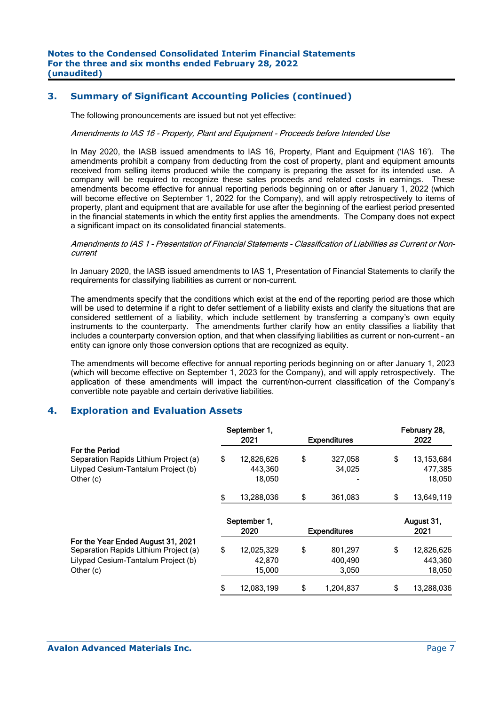# **3. Summary of Significant Accounting Policies (continued)**

The following pronouncements are issued but not yet effective:

#### Amendments to IAS 16 - Property, Plant and Equipment - Proceeds before Intended Use

In May 2020, the IASB issued amendments to IAS 16, Property, Plant and Equipment ('IAS 16'). The amendments prohibit a company from deducting from the cost of property, plant and equipment amounts received from selling items produced while the company is preparing the asset for its intended use. A company will be required to recognize these sales proceeds and related costs in earnings. These amendments become effective for annual reporting periods beginning on or after January 1, 2022 (which will become effective on September 1, 2022 for the Company), and will apply retrospectively to items of property, plant and equipment that are available for use after the beginning of the earliest period presented in the financial statements in which the entity first applies the amendments. The Company does not expect a significant impact on its consolidated financial statements.

#### Amendments to IAS 1 - Presentation of Financial Statements - Classification of Liabilities as Current or Noncurrent

In January 2020, the IASB issued amendments to IAS 1, Presentation of Financial Statements to clarify the requirements for classifying liabilities as current or non-current.

The amendments specify that the conditions which exist at the end of the reporting period are those which will be used to determine if a right to defer settlement of a liability exists and clarify the situations that are considered settlement of a liability, which include settlement by transferring a company's own equity instruments to the counterparty. The amendments further clarify how an entity classifies a liability that includes a counterparty conversion option, and that when classifying liabilities as current or non-current – an entity can ignore only those conversion options that are recognized as equity.

The amendments will become effective for annual reporting periods beginning on or after January 1, 2023 (which will become effective on September 1, 2023 for the Company), and will apply retrospectively. The application of these amendments will impact the current/non-current classification of the Company's convertible note payable and certain derivative liabilities.

# **4. Exploration and Evaluation Assets**

|                  |                                                                     |         |                                                                 | February 28, |
|------------------|---------------------------------------------------------------------|---------|-----------------------------------------------------------------|--------------|
| 2021             |                                                                     |         |                                                                 | 2022         |
|                  |                                                                     |         |                                                                 | 13, 153, 684 |
|                  |                                                                     |         |                                                                 | 477,385      |
| 18,050           |                                                                     |         |                                                                 | 18,050       |
| \$<br>13,288,036 | \$                                                                  | 361,083 | \$                                                              | 13,649,119   |
|                  |                                                                     |         |                                                                 | August 31,   |
| 2020             |                                                                     |         |                                                                 | 2021         |
|                  | \$                                                                  | 801,297 | \$                                                              | 12,826,626   |
| 42,870           |                                                                     | 400.490 |                                                                 | 443,360      |
|                  |                                                                     |         |                                                                 |              |
| 15,000           |                                                                     | 3,050   |                                                                 | 18,050       |
| \$<br>\$         | September 1,<br>12,826,626<br>443.360<br>September 1,<br>12,025,329 | \$      | <b>Expenditures</b><br>327.058<br>34.025<br><b>Expenditures</b> | \$           |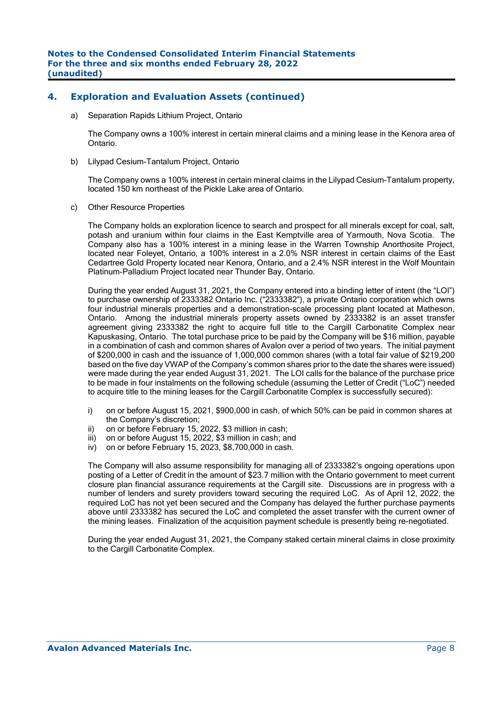# **4. Exploration and Evaluation Assets (continued)**

a) Separation Rapids Lithium Project, Ontario

The Company owns a 100% interest in certain mineral claims and a mining lease in the Kenora area of Ontario.

b) Lilypad Cesium-Tantalum Project, Ontario

The Company owns a 100% interest in certain mineral claims in the Lilypad Cesium-Tantalum property, located 150 km northeast of the Pickle Lake area of Ontario.

c) Other Resource Properties

The Company holds an exploration licence to search and prospect for all minerals except for coal, salt, potash and uranium within four claims in the East Kemptville area of Yarmouth, Nova Scotia. The Company also has a 100% interest in a mining lease in the Warren Township Anorthosite Project, located near Foleyet, Ontario, a 100% interest in a 2.0% NSR interest in certain claims of the East Cedartree Gold Property located near Kenora, Ontario, and a 2.4% NSR interest in the Wolf Mountain Platinum-Palladium Project located near Thunder Bay, Ontario.

During the year ended August 31, 2021, the Company entered into a binding letter of intent (the "LOI") to purchase ownership of 2333382 Ontario Inc. ("2333382"), a private Ontario corporation which owns four industrial minerals properties and a demonstration-scale processing plant located at Matheson, Ontario. Among the industrial minerals property assets owned by 2333382 is an asset transfer agreement giving 2333382 the right to acquire full title to the Cargill Carbonatite Complex near Kapuskasing, Ontario. The total purchase price to be paid by the Company will be \$16 million, payable in a combination of cash and common shares of Avalon over a period of two years. The initial payment of \$200,000 in cash and the issuance of 1,000,000 common shares (with a total fair value of \$219,200 based on the five day VWAP of the Company's common shares prior to the date the shares were issued) were made during the year ended August 31, 2021. The LOI calls for the balance of the purchase price to be made in four instalments on the following schedule (assuming the Letter of Credit ("LoC") needed to acquire title to the mining leases for the Cargill Carbonatite Complex is successfully secured):

- i) on or before August 15, 2021, \$900,000 in cash, of which 50% can be paid in common shares at the Company's discretion;
- ii) on or before February 15, 2022, \$3 million in cash;
- iii) on or before August 15, 2022, \$3 million in cash; and
- iv) on or before February 15, 2023, \$8,700,000 in cash.

The Company will also assume responsibility for managing all of 2333382's ongoing operations upon posting of a Letter of Credit in the amount of \$23.7 million with the Ontario government to meet current closure plan financial assurance requirements at the Cargill site. Discussions are in progress with a number of lenders and surety providers toward securing the required LoC. As of April 12, 2022, the required LoC has not yet been secured and the Company has delayed the further purchase payments above until 2333382 has secured the LoC and completed the asset transfer with the current owner of the mining leases. Finalization of the acquisition payment schedule is presently being re-negotiated.

During the year ended August 31, 2021, the Company staked certain mineral claims in close proximity to the Cargill Carbonatite Complex.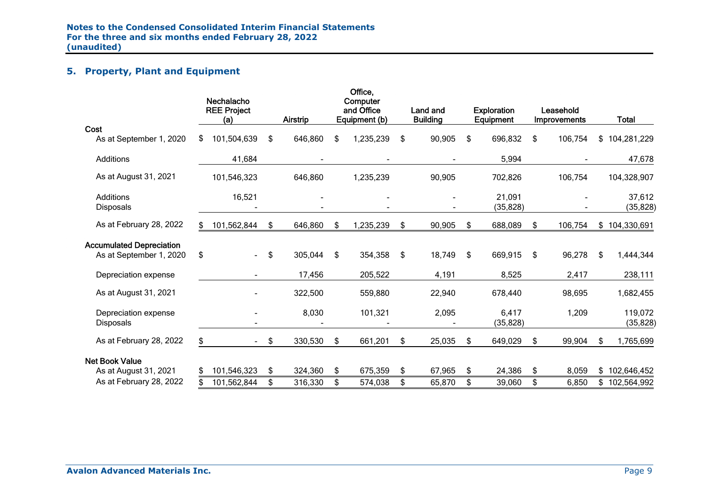# **5. Property, Plant and Equipment**

|                                                            |    | Nechalacho<br><b>REE Project</b><br>(a) | Airstrip      | Office,<br>Computer<br>and Office<br>Equipment (b) |     | Land and<br><b>Building</b> | <b>Exploration</b><br>Equipment | Leasehold<br>Improvements |     | <b>Total</b>         |
|------------------------------------------------------------|----|-----------------------------------------|---------------|----------------------------------------------------|-----|-----------------------------|---------------------------------|---------------------------|-----|----------------------|
| Cost<br>As at September 1, 2020                            | S. | 101,504,639                             | \$<br>646,860 | \$<br>1,235,239                                    | \$  | 90,905                      | \$<br>696,832                   | \$<br>106,754             |     | \$104,281,229        |
| <b>Additions</b>                                           |    | 41,684                                  |               |                                                    |     |                             | 5,994                           |                           |     | 47,678               |
| As at August 31, 2021                                      |    | 101,546,323                             | 646,860       | 1,235,239                                          |     | 90,905                      | 702,826                         | 106,754                   |     | 104,328,907          |
| <b>Additions</b><br><b>Disposals</b>                       |    | 16,521                                  |               |                                                    |     |                             | 21,091<br>(35, 828)             |                           |     | 37,612<br>(35, 828)  |
| As at February 28, 2022                                    | S. | 101,562,844                             | \$<br>646,860 | \$<br>1,235,239                                    | \$  | 90,905                      | \$<br>688,089                   | \$<br>106,754             |     | \$104,330,691        |
| <b>Accumulated Depreciation</b><br>As at September 1, 2020 | \$ | $\overline{\phantom{0}}$                | \$<br>305,044 | \$<br>354,358                                      | -\$ | 18,749                      | \$<br>669,915                   | \$<br>96,278              | -\$ | 1,444,344            |
| Depreciation expense                                       |    |                                         | 17,456        | 205,522                                            |     | 4,191                       | 8,525                           | 2,417                     |     | 238,111              |
| As at August 31, 2021                                      |    |                                         | 322,500       | 559,880                                            |     | 22,940                      | 678,440                         | 98,695                    |     | 1,682,455            |
| Depreciation expense<br><b>Disposals</b>                   |    |                                         | 8,030         | 101,321                                            |     | 2,095                       | 6,417<br>(35, 828)              | 1,209                     |     | 119,072<br>(35, 828) |
| As at February 28, 2022                                    | \$ |                                         | \$<br>330,530 | \$<br>661,201                                      | \$  | 25,035                      | \$<br>649,029                   | \$<br>99,904              | \$. | 1,765,699            |
| <b>Net Book Value</b><br>As at August 31, 2021             | \$ | 101,546,323                             | \$<br>324,360 | \$<br>675,359                                      | \$  | 67,965                      | \$<br>24,386                    | \$<br>8,059               |     | \$102,646,452        |
| As at February 28, 2022                                    |    | 101,562,844                             | \$<br>316,330 | \$<br>574,038                                      | \$  | 65,870                      | \$<br>39,060                    | \$<br>6,850               |     | \$102,564,992        |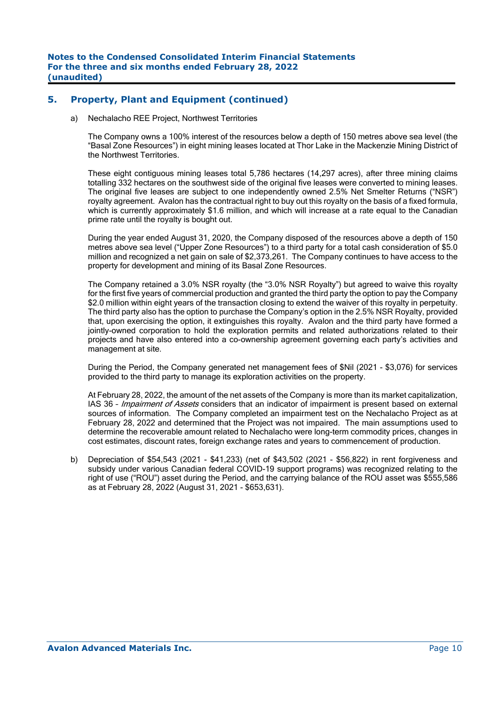# **5. Property, Plant and Equipment (continued)**

a) Nechalacho REE Project, Northwest Territories

The Company owns a 100% interest of the resources below a depth of 150 metres above sea level (the "Basal Zone Resources") in eight mining leases located at Thor Lake in the Mackenzie Mining District of the Northwest Territories.

These eight contiguous mining leases total 5,786 hectares (14,297 acres), after three mining claims totalling 332 hectares on the southwest side of the original five leases were converted to mining leases. The original five leases are subject to one independently owned 2.5% Net Smelter Returns ("NSR") royalty agreement. Avalon has the contractual right to buy out this royalty on the basis of a fixed formula, which is currently approximately \$1.6 million, and which will increase at a rate equal to the Canadian prime rate until the royalty is bought out.

During the year ended August 31, 2020, the Company disposed of the resources above a depth of 150 metres above sea level ("Upper Zone Resources") to a third party for a total cash consideration of \$5.0 million and recognized a net gain on sale of \$2,373,261. The Company continues to have access to the property for development and mining of its Basal Zone Resources.

The Company retained a 3.0% NSR royalty (the "3.0% NSR Royalty") but agreed to waive this royalty for the first five years of commercial production and granted the third party the option to pay the Company \$2.0 million within eight years of the transaction closing to extend the waiver of this royalty in perpetuity. The third party also has the option to purchase the Company's option in the 2.5% NSR Royalty, provided that, upon exercising the option, it extinguishes this royalty. Avalon and the third party have formed a jointly-owned corporation to hold the exploration permits and related authorizations related to their projects and have also entered into a co-ownership agreement governing each party's activities and management at site.

 During the Period, the Company generated net management fees of \$Nil (2021 - \$3,076) for services provided to the third party to manage its exploration activities on the property.

 At February 28, 2022, the amount of the net assets of the Company is more than its market capitalization, IAS 36 - Impairment of Assets considers that an indicator of impairment is present based on external sources of information. The Company completed an impairment test on the Nechalacho Project as at February 28, 2022 and determined that the Project was not impaired. The main assumptions used to determine the recoverable amount related to Nechalacho were long-term commodity prices, changes in cost estimates, discount rates, foreign exchange rates and years to commencement of production.

b) Depreciation of \$54,543 (2021 - \$41,233) (net of \$43,502 (2021 - \$56,822) in rent forgiveness and subsidy under various Canadian federal COVID-19 support programs) was recognized relating to the right of use ("ROU") asset during the Period, and the carrying balance of the ROU asset was \$555,586 as at February 28, 2022 (August 31, 2021 - \$653,631).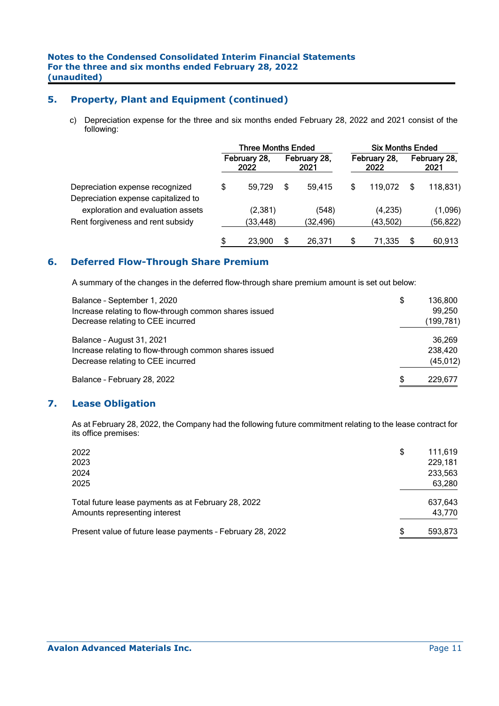# **5. Property, Plant and Equipment (continued)**

c) Depreciation expense for the three and six months ended February 28, 2022 and 2021 consist of the following:

|                                     | <b>Three Months Ended</b> |                      |   |                      |    | <b>Six Months Ended</b> |                      |           |  |
|-------------------------------------|---------------------------|----------------------|---|----------------------|----|-------------------------|----------------------|-----------|--|
|                                     |                           | February 28,<br>2022 |   | February 28,<br>2021 |    | February 28,<br>2022    | February 28,<br>2021 |           |  |
| Depreciation expense recognized     | S                         | 59.729               | S | 59.415               | \$ | 119.072                 | S                    | 118,831)  |  |
| Depreciation expense capitalized to |                           |                      |   |                      |    |                         |                      |           |  |
| exploration and evaluation assets   |                           | (2, 381)             |   | (548)                |    | (4,235)                 |                      | (1,096)   |  |
| Rent forgiveness and rent subsidy   |                           | (33, 448)            |   | (32, 496)            |    | (43, 502)               |                      | (56, 822) |  |
|                                     | \$                        | 23.900               | S | 26.371               | \$ | 71.335                  |                      | 60,913    |  |

# **6. Deferred Flow-Through Share Premium**

A summary of the changes in the deferred flow-through share premium amount is set out below:

| Balance - September 1, 2020                            | \$<br>136.800 |
|--------------------------------------------------------|---------------|
| Increase relating to flow-through common shares issued | 99,250        |
| Decrease relating to CEE incurred                      | (199, 781)    |
| Balance - August 31, 2021                              | 36,269        |
| Increase relating to flow-through common shares issued | 238,420       |
| Decrease relating to CEE incurred                      | (45, 012)     |
| Balance - February 28, 2022                            | \$<br>229,677 |

# **7. Lease Obligation**

As at February 28, 2022, the Company had the following future commitment relating to the lease contract for its office premises:

| 2022<br>2023<br>2024<br>2025                                                         | \$<br>111,619<br>229,181<br>233,563<br>63,280 |
|--------------------------------------------------------------------------------------|-----------------------------------------------|
| Total future lease payments as at February 28, 2022<br>Amounts representing interest | 637.643<br>43,770                             |
| Present value of future lease payments - February 28, 2022                           | \$<br>593.873                                 |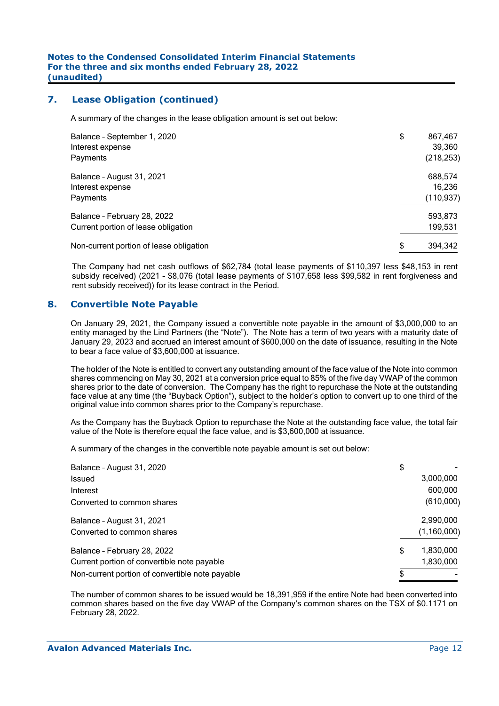## **7. Lease Obligation (continued)**

A summary of the changes in the lease obligation amount is set out below:

| Balance - September 1, 2020<br>Interest expense<br>Payments | \$<br>867,467<br>39,360<br>(218, 253) |
|-------------------------------------------------------------|---------------------------------------|
| Balance - August 31, 2021                                   | 688,574                               |
| Interest expense                                            | 16,236                                |
| Payments                                                    | (110, 937)                            |
| Balance - February 28, 2022                                 | 593,873                               |
| Current portion of lease obligation                         | 199,531                               |
| Non-current portion of lease obligation                     | \$<br>394,342                         |

The Company had net cash outflows of \$62,784 (total lease payments of \$110,397 less \$48,153 in rent subsidy received) (2021 – \$8,076 (total lease payments of \$107,658 less \$99,582 in rent forgiveness and rent subsidy received)) for its lease contract in the Period.

### **8. Convertible Note Payable**

On January 29, 2021, the Company issued a convertible note payable in the amount of \$3,000,000 to an entity managed by the Lind Partners (the "Note"). The Note has a term of two years with a maturity date of January 29, 2023 and accrued an interest amount of \$600,000 on the date of issuance, resulting in the Note to bear a face value of \$3,600,000 at issuance.

The holder of the Note is entitled to convert any outstanding amount of the face value of the Note into common shares commencing on May 30, 2021 at a conversion price equal to 85% of the five day VWAP of the common shares prior to the date of conversion. The Company has the right to repurchase the Note at the outstanding face value at any time (the "Buyback Option"), subject to the holder's option to convert up to one third of the original value into common shares prior to the Company's repurchase.

As the Company has the Buyback Option to repurchase the Note at the outstanding face value, the total fair value of the Note is therefore equal the face value, and is \$3,600,000 at issuance.

A summary of the changes in the convertible note payable amount is set out below:

| Balance - August 31, 2020                       | \$              |
|-------------------------------------------------|-----------------|
| <b>Issued</b>                                   | 3,000,000       |
| Interest                                        | 600,000         |
| Converted to common shares                      | (610,000)       |
| Balance - August 31, 2021                       | 2,990,000       |
| Converted to common shares                      | (1, 160, 000)   |
| Balance - February 28, 2022                     | \$<br>1,830,000 |
| Current portion of convertible note payable     | 1,830,000       |
| Non-current portion of convertible note payable |                 |

The number of common shares to be issued would be 18,391,959 if the entire Note had been converted into common shares based on the five day VWAP of the Company's common shares on the TSX of \$0.1171 on February 28, 2022.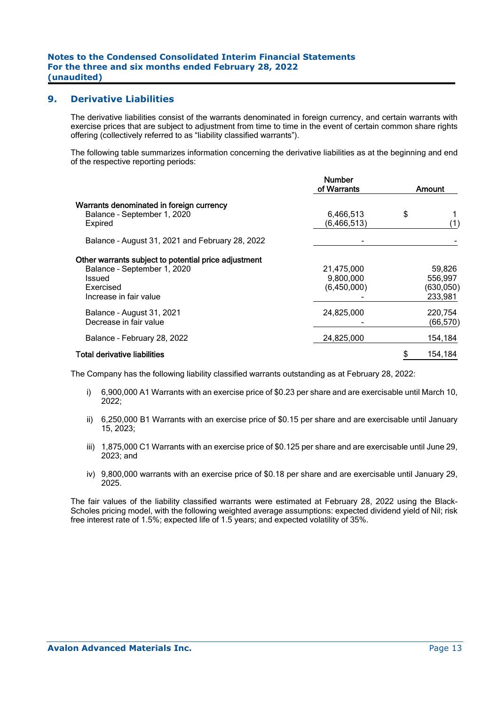### **9. Derivative Liabilities**

The derivative liabilities consist of the warrants denominated in foreign currency, and certain warrants with exercise prices that are subject to adjustment from time to time in the event of certain common share rights offering (collectively referred to as "liability classified warrants").

The following table summarizes information concerning the derivative liabilities as at the beginning and end of the respective reporting periods:

|                                                                                                                                             | <b>Number</b><br>of Warrants           | Amount |                                            |  |  |
|---------------------------------------------------------------------------------------------------------------------------------------------|----------------------------------------|--------|--------------------------------------------|--|--|
| Warrants denominated in foreign currency<br>Balance - September 1, 2020<br>Expired                                                          | 6,466,513<br>(6,466,513)               | \$     |                                            |  |  |
| Balance - August 31, 2021 and February 28, 2022                                                                                             |                                        |        |                                            |  |  |
| Other warrants subject to potential price adjustment<br>Balance - September 1, 2020<br><b>Issued</b><br>Exercised<br>Increase in fair value | 21,475,000<br>9,800,000<br>(6,450,000) |        | 59,826<br>556.997<br>(630, 050)<br>233,981 |  |  |
| Balance - August 31, 2021<br>Decrease in fair value                                                                                         | 24,825,000                             |        | 220.754<br>(66, 570)                       |  |  |
| Balance - February 28, 2022                                                                                                                 | 24,825,000                             |        | 154,184                                    |  |  |
| <b>Total derivative liabilities</b>                                                                                                         |                                        |        | 154,184                                    |  |  |

The Company has the following liability classified warrants outstanding as at February 28, 2022:

- i) 6,900,000 A1 Warrants with an exercise price of \$0.23 per share and are exercisable until March 10, 2022;
- ii) 6,250,000 B1 Warrants with an exercise price of \$0.15 per share and are exercisable until January 15, 2023;
- iii) 1,875,000 C1 Warrants with an exercise price of \$0.125 per share and are exercisable until June 29, 2023; and
- iv) 9,800,000 warrants with an exercise price of \$0.18 per share and are exercisable until January 29, 2025.

The fair values of the liability classified warrants were estimated at February 28, 2022 using the Black-Scholes pricing model, with the following weighted average assumptions: expected dividend yield of Nil; risk free interest rate of 1.5%; expected life of 1.5 years; and expected volatility of 35%.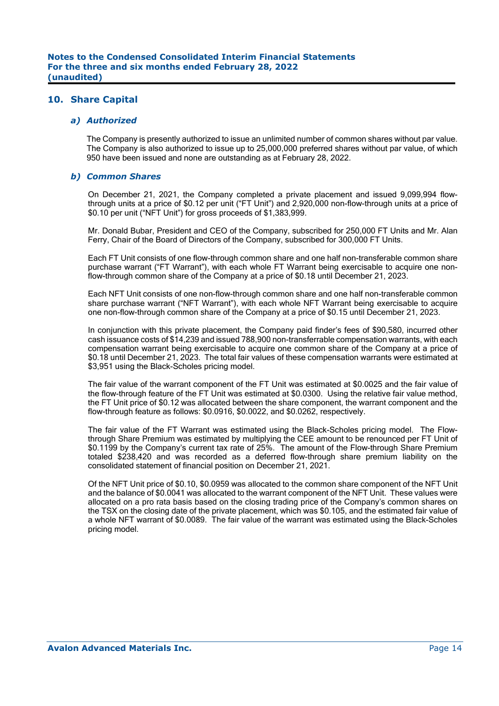### **10. Share Capital**

#### *a) Authorized*

 The Company is presently authorized to issue an unlimited number of common shares without par value. The Company is also authorized to issue up to 25,000,000 preferred shares without par value, of which 950 have been issued and none are outstanding as at February 28, 2022.

#### *b) Common Shares*

On December 21, 2021, the Company completed a private placement and issued 9,099,994 flowthrough units at a price of \$0.12 per unit ("FT Unit") and 2,920,000 non-flow-through units at a price of \$0.10 per unit ("NFT Unit") for gross proceeds of \$1,383,999.

Mr. Donald Bubar, President and CEO of the Company, subscribed for 250,000 FT Units and Mr. Alan Ferry, Chair of the Board of Directors of the Company, subscribed for 300,000 FT Units.

Each FT Unit consists of one flow-through common share and one half non-transferable common share purchase warrant ("FT Warrant"), with each whole FT Warrant being exercisable to acquire one nonflow-through common share of the Company at a price of \$0.18 until December 21, 2023.

Each NFT Unit consists of one non-flow-through common share and one half non-transferable common share purchase warrant ("NFT Warrant"), with each whole NFT Warrant being exercisable to acquire one non-flow-through common share of the Company at a price of \$0.15 until December 21, 2023.

In conjunction with this private placement, the Company paid finder's fees of \$90,580, incurred other cash issuance costs of \$14,239 and issued 788,900 non-transferrable compensation warrants, with each compensation warrant being exercisable to acquire one common share of the Company at a price of \$0.18 until December 21, 2023. The total fair values of these compensation warrants were estimated at \$3,951 using the Black-Scholes pricing model.

The fair value of the warrant component of the FT Unit was estimated at \$0.0025 and the fair value of the flow-through feature of the FT Unit was estimated at \$0.0300. Using the relative fair value method, the FT Unit price of \$0.12 was allocated between the share component, the warrant component and the flow-through feature as follows: \$0.0916, \$0.0022, and \$0.0262, respectively.

The fair value of the FT Warrant was estimated using the Black-Scholes pricing model. The Flowthrough Share Premium was estimated by multiplying the CEE amount to be renounced per FT Unit of \$0.1199 by the Company's current tax rate of 25%. The amount of the Flow-through Share Premium totaled \$238,420 and was recorded as a deferred flow-through share premium liability on the consolidated statement of financial position on December 21, 2021.

Of the NFT Unit price of \$0.10, \$0.0959 was allocated to the common share component of the NFT Unit and the balance of \$0.0041 was allocated to the warrant component of the NFT Unit. These values were allocated on a pro rata basis based on the closing trading price of the Company's common shares on the TSX on the closing date of the private placement, which was \$0.105, and the estimated fair value of a whole NFT warrant of \$0.0089. The fair value of the warrant was estimated using the Black-Scholes pricing model.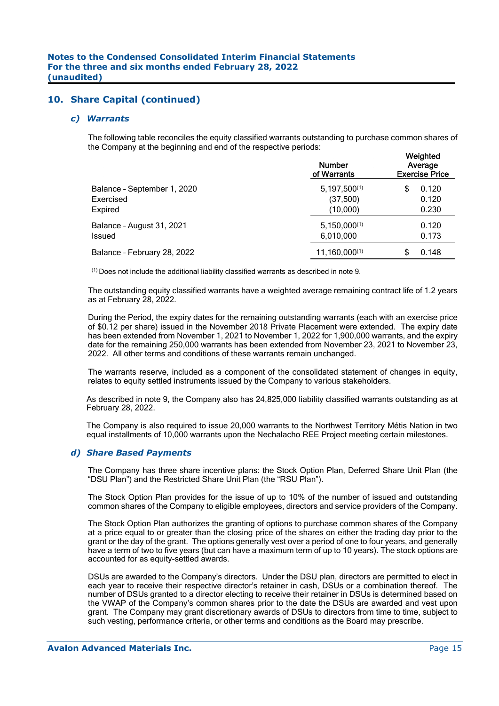#### *c) Warrants*

The following table reconciles the equity classified warrants outstanding to purchase common shares of the Company at the beginning and end of the respective periods:

|                                                     | <b>Number</b><br>of Warrants              | Weighted<br>Average<br><b>Exercise Price</b> |  |  |  |  |  |
|-----------------------------------------------------|-------------------------------------------|----------------------------------------------|--|--|--|--|--|
| Balance - September 1, 2020<br>Exercised<br>Expired | $5,197,500^{(1)}$<br>(37,500)<br>(10,000) | 0.120<br>S<br>0.120<br>0.230                 |  |  |  |  |  |
| Balance - August 31, 2021<br>Issued                 | $5,150,000^{(1)}$<br>6,010,000            | 0.120<br>0.173                               |  |  |  |  |  |
| Balance - February 28, 2022                         | $11,160,000^{(1)}$                        | 0.148                                        |  |  |  |  |  |

 $<sup>(1)</sup>$  Does not include the additional liability classified warrants as described in note 9.</sup>

The outstanding equity classified warrants have a weighted average remaining contract life of 1.2 years as at February 28, 2022.

During the Period, the expiry dates for the remaining outstanding warrants (each with an exercise price of \$0.12 per share) issued in the November 2018 Private Placement were extended. The expiry date has been extended from November 1, 2021 to November 1, 2022 for 1,900,000 warrants, and the expiry date for the remaining 250,000 warrants has been extended from November 23, 2021 to November 23, 2022. All other terms and conditions of these warrants remain unchanged.

The warrants reserve, included as a component of the consolidated statement of changes in equity, relates to equity settled instruments issued by the Company to various stakeholders.

As described in note 9, the Company also has 24,825,000 liability classified warrants outstanding as at February 28, 2022.

The Company is also required to issue 20,000 warrants to the Northwest Territory Métis Nation in two equal installments of 10,000 warrants upon the Nechalacho REE Project meeting certain milestones.

#### *d) Share Based Payments*

The Company has three share incentive plans: the Stock Option Plan, Deferred Share Unit Plan (the "DSU Plan") and the Restricted Share Unit Plan (the "RSU Plan").

The Stock Option Plan provides for the issue of up to 10% of the number of issued and outstanding common shares of the Company to eligible employees, directors and service providers of the Company.

The Stock Option Plan authorizes the granting of options to purchase common shares of the Company at a price equal to or greater than the closing price of the shares on either the trading day prior to the grant or the day of the grant. The options generally vest over a period of one to four years, and generally have a term of two to five years (but can have a maximum term of up to 10 years). The stock options are accounted for as equity-settled awards.

DSUs are awarded to the Company's directors. Under the DSU plan, directors are permitted to elect in each year to receive their respective director's retainer in cash, DSUs or a combination thereof. The number of DSUs granted to a director electing to receive their retainer in DSUs is determined based on the VWAP of the Company's common shares prior to the date the DSUs are awarded and vest upon grant. The Company may grant discretionary awards of DSUs to directors from time to time, subject to such vesting, performance criteria, or other terms and conditions as the Board may prescribe.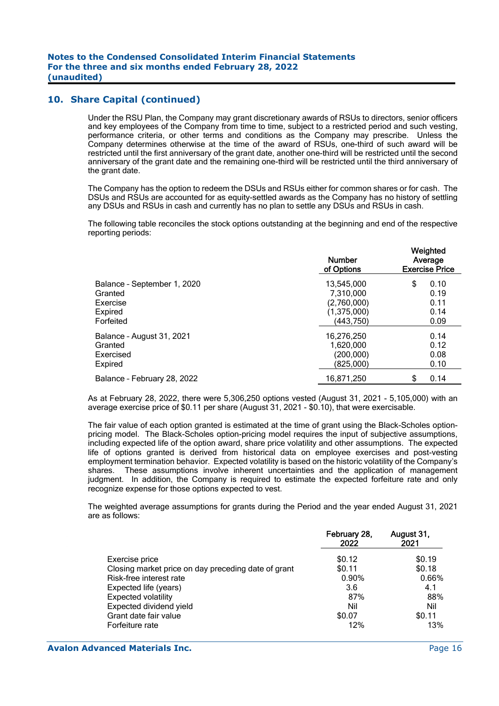Under the RSU Plan, the Company may grant discretionary awards of RSUs to directors, senior officers and key employees of the Company from time to time, subject to a restricted period and such vesting, performance criteria, or other terms and conditions as the Company may prescribe. Unless the Company determines otherwise at the time of the award of RSUs, one-third of such award will be restricted until the first anniversary of the grant date, another one-third will be restricted until the second anniversary of the grant date and the remaining one-third will be restricted until the third anniversary of the grant date.

The Company has the option to redeem the DSUs and RSUs either for common shares or for cash. The DSUs and RSUs are accounted for as equity-settled awards as the Company has no history of settling any DSUs and RSUs in cash and currently has no plan to settle any DSUs and RSUs in cash.

The following table reconciles the stock options outstanding at the beginning and end of the respective reporting periods:

|                             | <b>Number</b><br>of Options | Weighted<br>Average<br><b>Exercise Price</b> |  |  |  |  |  |
|-----------------------------|-----------------------------|----------------------------------------------|--|--|--|--|--|
| Balance - September 1, 2020 | 13.545.000                  | \$<br>0.10                                   |  |  |  |  |  |
| Granted                     | 7.310.000                   | 0.19                                         |  |  |  |  |  |
| Exercise                    | (2,760,000)                 | 0.11                                         |  |  |  |  |  |
| Expired                     | (1, 375, 000)               | 0.14                                         |  |  |  |  |  |
| Forfeited                   | (443, 750)                  | 0.09                                         |  |  |  |  |  |
| Balance - August 31, 2021   | 16,276,250                  | 0.14                                         |  |  |  |  |  |
| Granted                     | 1.620.000                   | 0.12                                         |  |  |  |  |  |
| Exercised                   | (200,000)                   | 0.08                                         |  |  |  |  |  |
| Expired                     | (825.000)                   | 0.10                                         |  |  |  |  |  |
| Balance - February 28, 2022 | 16,871,250                  | 0.14                                         |  |  |  |  |  |
|                             |                             |                                              |  |  |  |  |  |

As at February 28, 2022, there were 5,306,250 options vested (August 31, 2021 - 5,105,000) with an average exercise price of \$0.11 per share (August 31, 2021 - \$0.10), that were exercisable.

The fair value of each option granted is estimated at the time of grant using the Black-Scholes optionpricing model. The Black-Scholes option-pricing model requires the input of subjective assumptions, including expected life of the option award, share price volatility and other assumptions. The expected life of options granted is derived from historical data on employee exercises and post-vesting employment termination behavior. Expected volatility is based on the historic volatility of the Company's shares. These assumptions involve inherent uncertainties and the application of management judgment. In addition, the Company is required to estimate the expected forfeiture rate and only recognize expense for those options expected to vest.

The weighted average assumptions for grants during the Period and the year ended August 31, 2021 are as follows:

|                                                     | February 28,<br>2022 | August 31,<br>2021 |
|-----------------------------------------------------|----------------------|--------------------|
| Exercise price                                      | \$0.12               | \$0.19             |
| Closing market price on day preceding date of grant | \$0.11               | \$0.18             |
| Risk-free interest rate                             | 0.90%                | 0.66%              |
| Expected life (years)                               | 3.6                  | 4.1                |
| <b>Expected volatility</b>                          | 87%                  | 88%                |
| Expected dividend yield                             | Nil                  | Nil                |
| Grant date fair value                               | \$0.07               | \$0.11             |
| Forfeiture rate                                     | 12%                  | 13%                |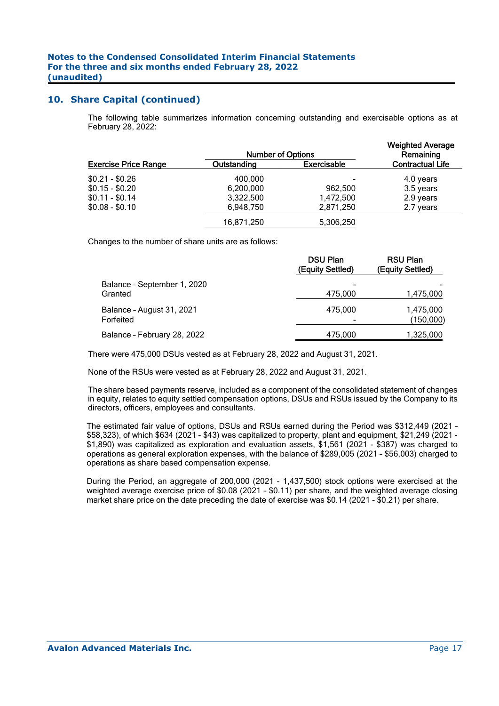The following table summarizes information concerning outstanding and exercisable options as at February 28, 2022:

|                             |             | <b>Number of Options</b> |                         |  |  |  |  |  |
|-----------------------------|-------------|--------------------------|-------------------------|--|--|--|--|--|
| <b>Exercise Price Range</b> | Outstanding | <b>Exercisable</b>       | <b>Contractual Life</b> |  |  |  |  |  |
| $$0.21 - $0.26$             | 400,000     |                          | 4.0 years               |  |  |  |  |  |
| $$0.15 - $0.20$             | 6,200,000   | 962.500                  | 3.5 years               |  |  |  |  |  |
| $$0.11 - $0.14$             | 3,322,500   | 1,472,500                | 2.9 years               |  |  |  |  |  |
| $$0.08 - $0.10$             | 6,948,750   | 2,871,250                | 2.7 years               |  |  |  |  |  |
|                             | 16,871,250  | 5,306,250                |                         |  |  |  |  |  |

Changes to the number of share units are as follows:

|                                        | <b>DSU Plan</b><br>(Equity Settled) | <b>RSU Plan</b><br>(Equity Settled) |
|----------------------------------------|-------------------------------------|-------------------------------------|
| Balance - September 1, 2020<br>Granted | 475,000                             | 1,475,000                           |
| Balance - August 31, 2021<br>Forfeited | 475.000                             | 1,475,000<br>(150,000)              |
| Balance - February 28, 2022            | 475.000                             | 1,325,000                           |

There were 475,000 DSUs vested as at February 28, 2022 and August 31, 2021.

None of the RSUs were vested as at February 28, 2022 and August 31, 2021.

The share based payments reserve, included as a component of the consolidated statement of changes in equity, relates to equity settled compensation options, DSUs and RSUs issued by the Company to its directors, officers, employees and consultants.

The estimated fair value of options, DSUs and RSUs earned during the Period was \$312,449 (2021 – \$58,323), of which \$634 (2021 - \$43) was capitalized to property, plant and equipment, \$21,249 (2021 - \$1,890) was capitalized as exploration and evaluation assets, \$1,561 (2021 - \$387) was charged to operations as general exploration expenses, with the balance of \$289,005 (2021 – \$56,003) charged to operations as share based compensation expense.

During the Period, an aggregate of 200,000 (2021 - 1,437,500) stock options were exercised at the weighted average exercise price of \$0.08 (2021 - \$0.11) per share, and the weighted average closing market share price on the date preceding the date of exercise was \$0.14 (2021 - \$0.21) per share.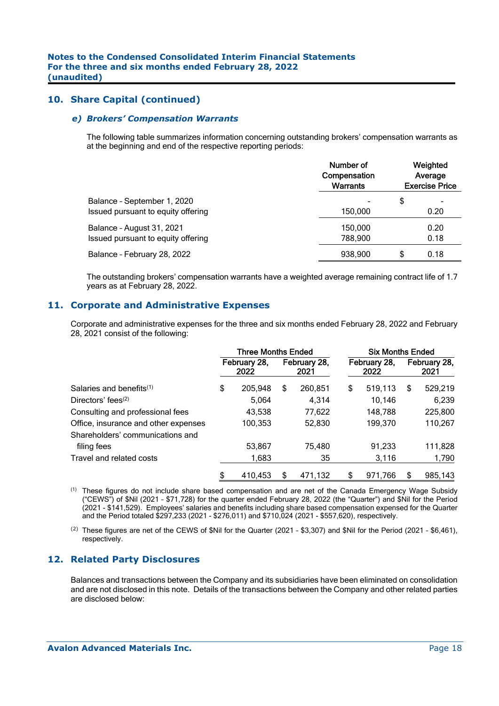#### *e) Brokers' Compensation Warrants*

The following table summarizes information concerning outstanding brokers' compensation warrants as at the beginning and end of the respective reporting periods:

|                                                                   | Number of<br>Compensation<br><b>Warrants</b> | Weighted<br>Average<br><b>Exercise Price</b> |
|-------------------------------------------------------------------|----------------------------------------------|----------------------------------------------|
| Balance - September 1, 2020<br>Issued pursuant to equity offering | 150,000                                      | \$<br>0.20                                   |
| Balance - August 31, 2021<br>Issued pursuant to equity offering   | 150.000<br>788,900                           | 0.20<br>0.18                                 |
| Balance - February 28, 2022                                       | 938,900                                      | \$<br>0.18                                   |

The outstanding brokers' compensation warrants have a weighted average remaining contract life of 1.7 years as at February 28, 2022.

### **11. Corporate and Administrative Expenses**

Corporate and administrative expenses for the three and six months ended February 28, 2022 and February 28, 2021 consist of the following:

|                                      | <b>Three Months Ended</b> |         |   |                      | <b>Six Months Ended</b> |                      |                      |         |  |
|--------------------------------------|---------------------------|---------|---|----------------------|-------------------------|----------------------|----------------------|---------|--|
| Salaries and benefits <sup>(1)</sup> | February 28,<br>2022      |         |   | February 28,<br>2021 |                         | February 28,<br>2022 | February 28,<br>2021 |         |  |
|                                      | \$                        | 205,948 | S | 260,851              | \$                      | 519,113              | \$                   | 529,219 |  |
| Directors' fees $(2)$                |                           | 5,064   |   | 4.314                |                         | 10,146               |                      | 6,239   |  |
| Consulting and professional fees     |                           | 43,538  |   | 77,622               |                         | 148,788              |                      | 225,800 |  |
| Office, insurance and other expenses |                           | 100,353 |   | 52,830               |                         | 199,370              |                      | 110,267 |  |
| Shareholders' communications and     |                           |         |   |                      |                         |                      |                      |         |  |
| filing fees                          |                           | 53,867  |   | 75,480               |                         | 91,233               |                      | 111,828 |  |
| Travel and related costs             |                           | 1,683   |   | 35                   |                         | 3,116                |                      | 1,790   |  |
|                                      | \$                        | 410.453 | S | 471,132              | \$                      | 971.766              | S                    | 985,143 |  |

(1) These figures do not include share based compensation and are net of the Canada Emergency Wage Subsidy ("CEWS") of \$Nil (2021 – \$71,728) for the quarter ended February 28, 2022 (the "Quarter") and \$Nil for the Period (2021 - \$141,529). Employees' salaries and benefits including share based compensation expensed for the Quarter and the Period totaled \$297,233 (2021 - \$276,011) and \$710,024 (2021 - \$557,620), respectively.

(2) These figures are net of the CEWS of \$Nil for the Quarter (2021 - \$3,307) and \$Nil for the Period (2021 - \$6,461), respectively.

### **12. Related Party Disclosures**

Balances and transactions between the Company and its subsidiaries have been eliminated on consolidation and are not disclosed in this note. Details of the transactions between the Company and other related parties are disclosed below: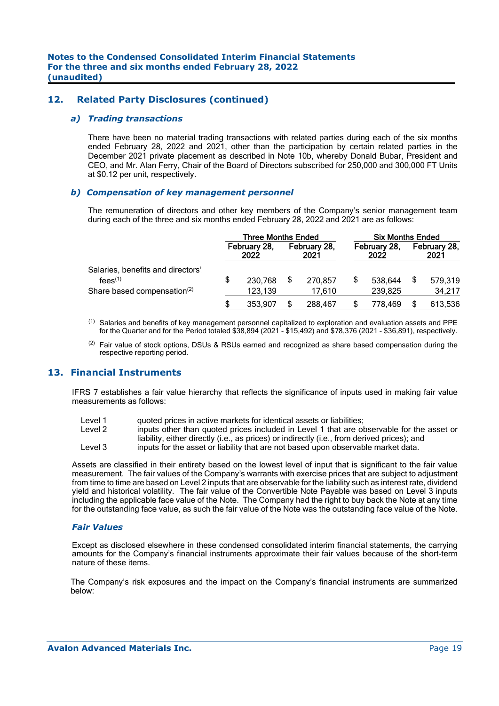### **12. Related Party Disclosures (continued)**

#### *a) Trading transactions*

There have been no material trading transactions with related parties during each of the six months ended February 28, 2022 and 2021, other than the participation by certain related parties in the December 2021 private placement as described in Note 10b, whereby Donald Bubar, President and CEO, and Mr. Alan Ferry, Chair of the Board of Directors subscribed for 250,000 and 300,000 FT Units at \$0.12 per unit, respectively.

#### *b) Compensation of key management personnel*

The remuneration of directors and other key members of the Company's senior management team during each of the three and six months ended February 28, 2022 and 2021 are as follows:

|                                                                         | <b>Three Months Ended</b> |         |                      |         | <b>Six Months Ended</b> |         |                      |         |  |  |
|-------------------------------------------------------------------------|---------------------------|---------|----------------------|---------|-------------------------|---------|----------------------|---------|--|--|
|                                                                         | February 28,<br>2022      |         | February 28,<br>2021 |         | February 28,<br>2022    |         | February 28,<br>2021 |         |  |  |
| Salaries, benefits and directors'<br>$fees$ <sup><math>(1)</math></sup> | \$                        | 230,768 | \$                   | 270,857 |                         | 538,644 |                      | 579,319 |  |  |
| Share based compensation <sup>(2)</sup>                                 |                           | 123,139 |                      | 17.610  |                         | 239,825 |                      | 34,217  |  |  |
|                                                                         |                           | 353.907 | S                    | 288.467 |                         | 778.469 |                      | 613,536 |  |  |

(1) Salaries and benefits of key management personnel capitalized to exploration and evaluation assets and PPE for the Quarter and for the Period totaled \$38,894 (2021 - \$15,492) and \$78,376 (2021 - \$36,891), respectively.

(2) Fair value of stock options, DSUs & RSUs earned and recognized as share based compensation during the respective reporting period.

# **13. Financial Instruments**

IFRS 7 establishes a fair value hierarchy that reflects the significance of inputs used in making fair value measurements as follows:

Level 1 guoted prices in active markets for identical assets or liabilities;

Level 2 inputs other than quoted prices included in Level 1 that are observable for the asset or liability, either directly (i.e., as prices) or indirectly (i.e., from derived prices); and

Level 3 inputs for the asset or liability that are not based upon observable market data.

Assets are classified in their entirety based on the lowest level of input that is significant to the fair value measurement. The fair values of the Company's warrants with exercise prices that are subject to adjustment from time to time are based on Level 2 inputs that are observable for the liability such as interest rate, dividend yield and historical volatility. The fair value of the Convertible Note Payable was based on Level 3 inputs including the applicable face value of the Note. The Company had the right to buy back the Note at any time for the outstanding face value, as such the fair value of the Note was the outstanding face value of the Note.

#### *Fair Values*

Except as disclosed elsewhere in these condensed consolidated interim financial statements, the carrying amounts for the Company's financial instruments approximate their fair values because of the short-term nature of these items.

The Company's risk exposures and the impact on the Company's financial instruments are summarized below: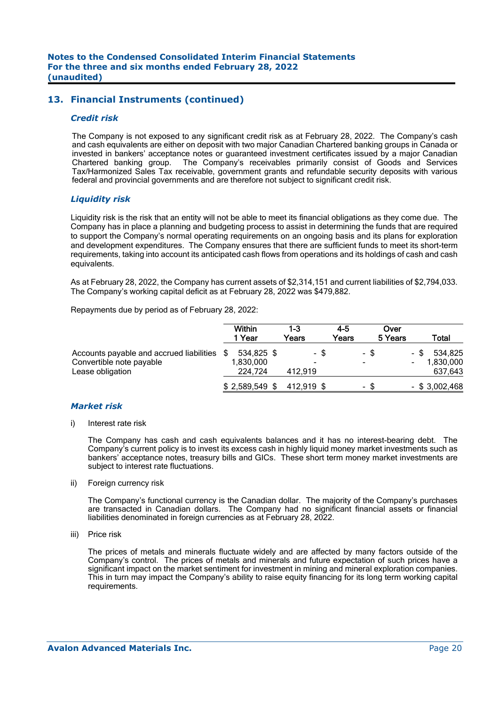## **13. Financial Instruments (continued)**

#### *Credit risk*

The Company is not exposed to any significant credit risk as at February 28, 2022. The Company's cash and cash equivalents are either on deposit with two major Canadian Chartered banking groups in Canada or invested in bankers' acceptance notes or guaranteed investment certificates issued by a major Canadian Chartered banking group. The Company's receivables primarily consist of Goods and Services Tax/Harmonized Sales Tax receivable, government grants and refundable security deposits with various federal and provincial governments and are therefore not subject to significant credit risk.

#### *Liquidity risk*

Liquidity risk is the risk that an entity will not be able to meet its financial obligations as they come due. The Company has in place a planning and budgeting process to assist in determining the funds that are required to support the Company's normal operating requirements on an ongoing basis and its plans for exploration and development expenditures. The Company ensures that there are sufficient funds to meet its short-term requirements, taking into account its anticipated cash flows from operations and its holdings of cash and cash equivalents.

As at February 28, 2022, the Company has current assets of \$2,314,151 and current liabilities of \$2,794,033. The Company's working capital deficit as at February 28, 2022 was \$479,882.

Repayments due by period as of February 28, 2022:

|                                                                                          | <b>Within</b><br>1 Year            | 1-3<br>Years         | $4 - 5$<br>Years |                          | Over<br>5 Years |      | Total                           |
|------------------------------------------------------------------------------------------|------------------------------------|----------------------|------------------|--------------------------|-----------------|------|---------------------------------|
| Accounts payable and accrued liabilities<br>Convertible note payable<br>Lease obligation | 534,825 \$<br>1,830,000<br>224.724 | - \$<br>۰<br>412.919 |                  | $\overline{\phantom{0}}$ | - \$            | - \$ | 534,825<br>1,830,000<br>637,643 |
|                                                                                          | $$2,589,549$ \$                    | 412,919 \$           |                  |                          | - \$            |      | $-$ \$ 3,002,468                |

#### *Market risk*

i) Interest rate risk

 The Company has cash and cash equivalents balances and it has no interest-bearing debt. The Company's current policy is to invest its excess cash in highly liquid money market investments such as bankers' acceptance notes, treasury bills and GICs. These short term money market investments are subject to interest rate fluctuations.

ii) Foreign currency risk

 The Company's functional currency is the Canadian dollar. The majority of the Company's purchases are transacted in Canadian dollars. The Company had no significant financial assets or financial liabilities denominated in foreign currencies as at February 28, 2022.

iii) Price risk

 The prices of metals and minerals fluctuate widely and are affected by many factors outside of the Company's control. The prices of metals and minerals and future expectation of such prices have a significant impact on the market sentiment for investment in mining and mineral exploration companies. This in turn may impact the Company's ability to raise equity financing for its long term working capital requirements.